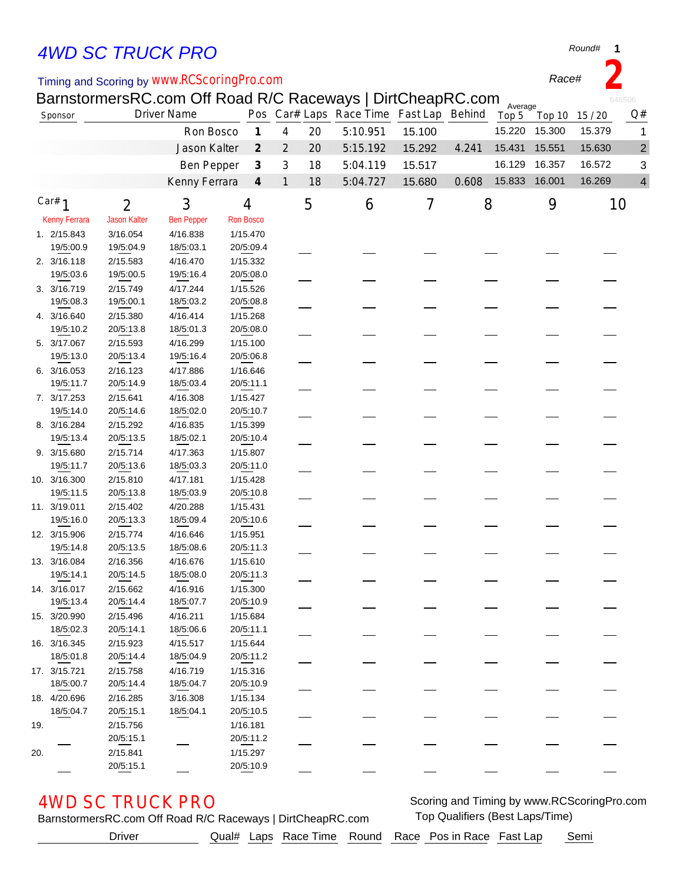# *4WD SC TRUCK PRO*

### Timing and Scoring by *www.RCScoringPro.com*

BarnstormersRC.com Off Road R/C Raceways | DirtCheapRC.com

| Sponsor  |                      | <b>Driver Name</b>  |                   |  |                             |                |    | Pos Car# Laps Race Time Fast Lap Behind |        |       | Average<br>Top 5 | Top 10 | 15/20  | Q#                      |
|----------|----------------------|---------------------|-------------------|--|-----------------------------|----------------|----|-----------------------------------------|--------|-------|------------------|--------|--------|-------------------------|
|          |                      |                     | Ron Bosco         |  | $\boldsymbol{\mathcal{I}}$  | 4              | 20 | 5:10.951                                | 15.100 |       | 15.220           | 15.300 | 15.379 | 1                       |
|          |                      |                     | Jason Kalter      |  | $\mathcal{Z}_{\mathcal{C}}$ | $\overline{2}$ | 20 | 5:15.192                                | 15.292 | 4.241 | 15.431           | 15.551 | 15.630 | $\overline{\mathbf{c}}$ |
|          |                      |                     | Ben Pepper        |  | $\boldsymbol{\beta}$        | 3              | 18 | 5:04.119                                | 15.517 |       | 16.129           | 16.357 | 16.572 | 3                       |
|          |                      |                     |                   |  | $\boldsymbol{4}$            | $\mathbf{1}$   | 18 | 5:04.727                                | 15.680 | 0.608 | 15.833 16.001    |        | 16.269 | 4                       |
|          |                      |                     | Kenny Ferrara     |  |                             |                |    |                                         |        |       |                  |        |        |                         |
| Car# $1$ |                      | $\overline{2}$      | 3                 |  | 4                           |                | 5  | 6                                       | 7      | 8     |                  | 9      |        | 10                      |
|          | <b>Kenny Ferrara</b> | <b>Jason Kalter</b> | <b>Ben Pepper</b> |  | <b>Ron Bosco</b>            |                |    |                                         |        |       |                  |        |        |                         |
|          | 1. 2/15.843          | 3/16.054            | 4/16.838          |  | 1/15.470                    |                |    |                                         |        |       |                  |        |        |                         |
|          | 19/5:00.9            | 19/5:04.9           | 18/5:03.1         |  | 20/5:09.4                   |                |    |                                         |        |       |                  |        |        |                         |
|          | 2. 3/16.118          | 2/15.583            | 4/16.470          |  | 1/15.332                    |                |    |                                         |        |       |                  |        |        |                         |
|          | 19/5:03.6            | 19/5:00.5           | 19/5:16.4         |  | 20/5:08.0                   |                |    |                                         |        |       |                  |        |        |                         |
|          | 3. 3/16.719          | 2/15.749            | 4/17.244          |  | 1/15.526                    |                |    |                                         |        |       |                  |        |        |                         |
|          | 19/5:08.3            | 19/5:00.1           | 18/5:03.2         |  | 20/5:08.8                   |                |    |                                         |        |       |                  |        |        |                         |
|          | 4. 3/16.640          | 2/15.380            | 4/16.414          |  | 1/15.268                    |                |    |                                         |        |       |                  |        |        |                         |
|          | 19/5:10.2            | 20/5:13.8           | 18/5:01.3         |  | 20/5:08.0                   |                |    |                                         |        |       |                  |        |        |                         |
|          | 5. 3/17.067          | 2/15.593            | 4/16.299          |  | 1/15.100                    |                |    |                                         |        |       |                  |        |        |                         |
|          | 19/5:13.0            | 20/5:13.4           | 19/5:16.4         |  | 20/5:06.8                   |                |    |                                         |        |       |                  |        |        |                         |
|          | 6. 3/16.053          | 2/16.123            | 4/17.886          |  | 1/16.646                    |                |    |                                         |        |       |                  |        |        |                         |
|          | 19/5:11.7            | 20/5:14.9           | 18/5:03.4         |  | 20/5:11.1                   |                |    |                                         |        |       |                  |        |        |                         |
|          | 7. 3/17.253          | 2/15.641            | 4/16.308          |  | 1/15.427                    |                |    |                                         |        |       |                  |        |        |                         |
|          | 19/5:14.0            | 20/5:14.6           | 18/5:02.0         |  | 20/5:10.7                   |                |    |                                         |        |       |                  |        |        |                         |
|          | 8. 3/16.284          | 2/15.292            | 4/16.835          |  | 1/15.399                    |                |    |                                         |        |       |                  |        |        |                         |
|          | 19/5:13.4            | 20/5:13.5           | 18/5:02.1         |  | 20/5:10.4                   |                |    |                                         |        |       |                  |        |        |                         |
|          | 9. 3/15.680          | 2/15.714            | 4/17.363          |  | 1/15.807                    |                |    |                                         |        |       |                  |        |        |                         |
|          | 19/5:11.7            | 20/5:13.6           | 18/5:03.3         |  | 20/5:11.0                   |                |    |                                         |        |       |                  |        |        |                         |
|          | 10. 3/16.300         | 2/15.810            | 4/17.181          |  | 1/15.428                    |                |    |                                         |        |       |                  |        |        |                         |
|          | 19/5:11.5            | 20/5:13.8           | 18/5:03.9         |  | 20/5:10.8                   |                |    |                                         |        |       |                  |        |        |                         |
|          | 11. 3/19.011         | 2/15.402            | 4/20.288          |  | 1/15.431                    |                |    |                                         |        |       |                  |        |        |                         |
|          | 19/5:16.0            | 20/5:13.3           | 18/5:09.4         |  | 20/5:10.6                   |                |    |                                         |        |       |                  |        |        |                         |
|          | 12. 3/15.906         | 2/15.774            | 4/16.646          |  | 1/15.951                    |                |    |                                         |        |       |                  |        |        |                         |
|          | 19/5:14.8            | 20/5:13.5           | 18/5:08.6         |  | 20/5:11.3                   |                |    |                                         |        |       |                  |        |        |                         |
|          | 13. 3/16.084         | 2/16.356            | 4/16.676          |  | 1/15.610                    |                |    |                                         |        |       |                  |        |        |                         |
|          | 19/5:14.1            | 20/5:14.5           | 18/5:08.0         |  | 20/5:11.3                   |                |    |                                         |        |       |                  |        |        |                         |
|          | 14. 3/16.017         | 2/15.662            | 4/16.916          |  | 1/15.300                    |                |    |                                         |        |       |                  |        |        |                         |
|          | 19/5:13.4            | 20/5:14.4           | 18/5:07.7         |  | 20/5:10.9                   |                |    |                                         |        |       |                  |        |        |                         |
|          | 15. 3/20.990         | 2/15.496            | 4/16.211          |  | 1/15.684                    |                |    |                                         |        |       |                  |        |        |                         |
|          | 18/5:02.3            | 20/5:14.1           | 18/5:06.6         |  | 20/5:11.1                   |                |    |                                         |        |       |                  |        |        |                         |
|          | 16. 3/16.345         | 2/15.923            | 4/15.517          |  | 1/15.644                    |                |    |                                         |        |       |                  |        |        |                         |
|          | 18/5:01.8            | 20/5:14.4           | 18/5:04.9         |  | 20/5:11.2                   |                |    |                                         |        |       |                  |        |        |                         |
|          | 17. 3/15.721         | 2/15.758            | 4/16.719          |  | 1/15.316                    |                |    |                                         |        |       |                  |        |        |                         |
|          | 18/5:00.7            | 20/5:14.4           | 18/5:04.7         |  | 20/5:10.9                   |                |    |                                         |        |       |                  |        |        |                         |
|          | 18. 4/20.696         | 2/16.285            | 3/16.308          |  | 1/15.134                    |                |    |                                         |        |       |                  |        |        |                         |
|          | 18/5:04.7            | 20/5:15.1           | 18/5:04.1         |  | 20/5:10.5                   |                |    |                                         |        |       |                  |        |        |                         |
| 19.      |                      | 2/15.756            |                   |  | 1/16.181                    |                |    |                                         |        |       |                  |        |        |                         |
|          |                      | 20/5:15.1           |                   |  | 20/5:11.2                   |                |    |                                         |        |       |                  |        |        |                         |
| 20.      |                      | 2/15.841            |                   |  | 1/15.297                    |                |    |                                         |        |       |                  |        |        |                         |
|          |                      | 20/5:15.1           |                   |  | 20/5:10.9                   |                |    |                                         |        |       |                  |        |        |                         |

**4WD SC TRUCK PRO** Scoring and Timing by www.RCScoringPro.com

BarnstormersRC.com Off Road R/C Raceways | DirtCheapRC.com Top Qualifiers (Best Laps/Time)

Driver **Qual# Laps Race Time Round Race Pos in Race Fast Lap** Semi

*Round#* **1**

*Race#* **2**